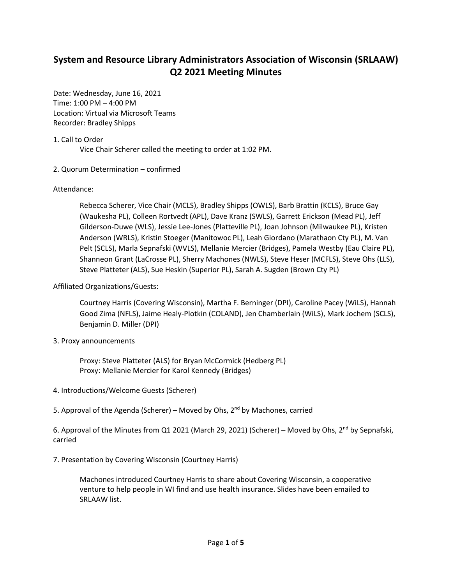# **System and Resource Library Administrators Association of Wisconsin (SRLAAW) Q2 2021 Meeting Minutes**

Date: Wednesday, June 16, 2021 Time: 1:00 PM – 4:00 PM Location: Virtual via Microsoft Teams Recorder: Bradley Shipps

## 1. Call to Order

Vice Chair Scherer called the meeting to order at 1:02 PM.

### 2. Quorum Determination – confirmed

### Attendance:

Rebecca Scherer, Vice Chair (MCLS), Bradley Shipps (OWLS), Barb Brattin (KCLS), Bruce Gay (Waukesha PL), Colleen Rortvedt (APL), Dave Kranz (SWLS), Garrett Erickson (Mead PL), Jeff Gilderson-Duwe (WLS), Jessie Lee-Jones (Platteville PL), Joan Johnson (Milwaukee PL), Kristen Anderson (WRLS), Kristin Stoeger (Manitowoc PL), Leah Giordano (Marathaon Cty PL), M. Van Pelt (SCLS), Marla Sepnafski (WVLS), Mellanie Mercier (Bridges), Pamela Westby (Eau Claire PL), Shanneon Grant (LaCrosse PL), Sherry Machones (NWLS), Steve Heser (MCFLS), Steve Ohs (LLS), Steve Platteter (ALS), Sue Heskin (Superior PL), Sarah A. Sugden (Brown Cty PL)

## Affiliated Organizations/Guests:

Courtney Harris (Covering Wisconsin), Martha F. Berninger (DPI), Caroline Pacey (WiLS), Hannah Good Zima (NFLS), Jaime Healy-Plotkin (COLAND), Jen Chamberlain (WiLS), Mark Jochem (SCLS), Benjamin D. Miller (DPI)

3. Proxy announcements

Proxy: Steve Platteter (ALS) for Bryan McCormick (Hedberg PL) Proxy: Mellanie Mercier for Karol Kennedy (Bridges)

- 4. Introductions/Welcome Guests (Scherer)
- 5. Approval of the Agenda (Scherer) Moved by Ohs, 2<sup>nd</sup> by Machones, carried

6. Approval of the Minutes from Q1 2021 (March 29, 2021) (Scherer) – Moved by Ohs, 2<sup>nd</sup> by Sepnafski, carried

7. Presentation by Covering Wisconsin (Courtney Harris)

Machones introduced Courtney Harris to share about Covering Wisconsin, a cooperative venture to help people in WI find and use health insurance. Slides have been emailed to SRLAAW list.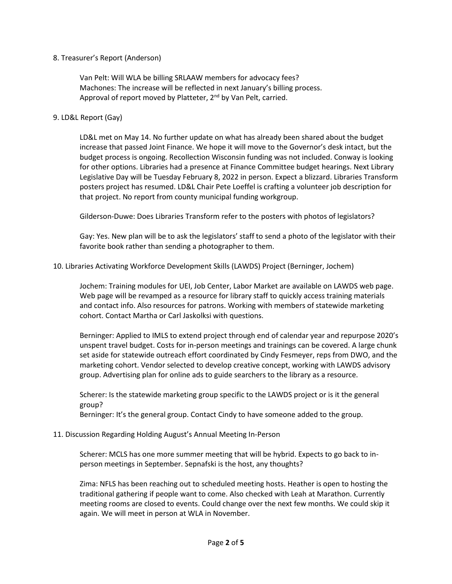## 8. Treasurer's Report (Anderson)

Van Pelt: Will WLA be billing SRLAAW members for advocacy fees? Machones: The increase will be reflected in next January's billing process. Approval of report moved by Platteter, 2<sup>nd</sup> by Van Pelt, carried.

## 9. LD&L Report (Gay)

LD&L met on May 14. No further update on what has already been shared about the budget increase that passed Joint Finance. We hope it will move to the Governor's desk intact, but the budget process is ongoing. Recollection Wisconsin funding was not included. Conway is looking for other options. Libraries had a presence at Finance Committee budget hearings. Next Library Legislative Day will be Tuesday February 8, 2022 in person. Expect a blizzard. Libraries Transform posters project has resumed. LD&L Chair Pete Loeffel is crafting a volunteer job description for that project. No report from county municipal funding workgroup.

Gilderson-Duwe: Does Libraries Transform refer to the posters with photos of legislators?

Gay: Yes. New plan will be to ask the legislators' staff to send a photo of the legislator with their favorite book rather than sending a photographer to them.

# 10. Libraries Activating Workforce Development Skills (LAWDS) Project (Berninger, Jochem)

Jochem: Training modules for UEI, Job Center, Labor Market are available on LAWDS web page. Web page will be revamped as a resource for library staff to quickly access training materials and contact info. Also resources for patrons. Working with members of statewide marketing cohort. Contact Martha or Carl Jaskolksi with questions.

Berninger: Applied to IMLS to extend project through end of calendar year and repurpose 2020's unspent travel budget. Costs for in-person meetings and trainings can be covered. A large chunk set aside for statewide outreach effort coordinated by Cindy Fesmeyer, reps from DWO, and the marketing cohort. Vendor selected to develop creative concept, working with LAWDS advisory group. Advertising plan for online ads to guide searchers to the library as a resource.

Scherer: Is the statewide marketing group specific to the LAWDS project or is it the general group?

Berninger: It's the general group. Contact Cindy to have someone added to the group.

## 11. Discussion Regarding Holding August's Annual Meeting In-Person

Scherer: MCLS has one more summer meeting that will be hybrid. Expects to go back to inperson meetings in September. Sepnafski is the host, any thoughts?

Zima: NFLS has been reaching out to scheduled meeting hosts. Heather is open to hosting the traditional gathering if people want to come. Also checked with Leah at Marathon. Currently meeting rooms are closed to events. Could change over the next few months. We could skip it again. We will meet in person at WLA in November.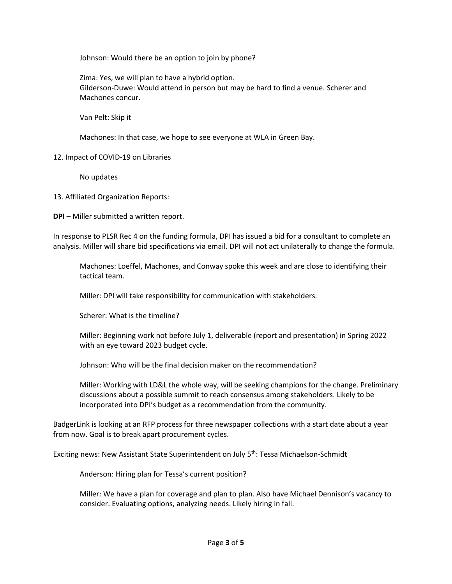Johnson: Would there be an option to join by phone?

Zima: Yes, we will plan to have a hybrid option. Gilderson-Duwe: Would attend in person but may be hard to find a venue. Scherer and Machones concur.

Van Pelt: Skip it

Machones: In that case, we hope to see everyone at WLA in Green Bay.

12. Impact of COVID-19 on Libraries

No updates

13. Affiliated Organization Reports:

**DPI** – Miller submitted a written report.

In response to PLSR Rec 4 on the funding formula, DPI has issued a bid for a consultant to complete an analysis. Miller will share bid specifications via email. DPI will not act unilaterally to change the formula.

Machones: Loeffel, Machones, and Conway spoke this week and are close to identifying their tactical team.

Miller: DPI will take responsibility for communication with stakeholders.

Scherer: What is the timeline?

Miller: Beginning work not before July 1, deliverable (report and presentation) in Spring 2022 with an eye toward 2023 budget cycle.

Johnson: Who will be the final decision maker on the recommendation?

Miller: Working with LD&L the whole way, will be seeking champions for the change. Preliminary discussions about a possible summit to reach consensus among stakeholders. Likely to be incorporated into DPI's budget as a recommendation from the community.

BadgerLink is looking at an RFP process for three newspaper collections with a start date about a year from now. Goal is to break apart procurement cycles.

Exciting news: New Assistant State Superintendent on July 5<sup>th</sup>: Tessa Michaelson-Schmidt

Anderson: Hiring plan for Tessa's current position?

Miller: We have a plan for coverage and plan to plan. Also have Michael Dennison's vacancy to consider. Evaluating options, analyzing needs. Likely hiring in fall.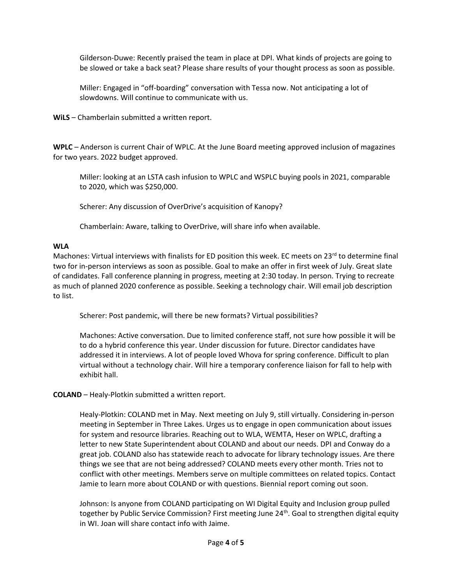Gilderson-Duwe: Recently praised the team in place at DPI. What kinds of projects are going to be slowed or take a back seat? Please share results of your thought process as soon as possible.

Miller: Engaged in "off-boarding" conversation with Tessa now. Not anticipating a lot of slowdowns. Will continue to communicate with us.

**WiLS** – Chamberlain submitted a written report.

**WPLC** – Anderson is current Chair of WPLC. At the June Board meeting approved inclusion of magazines for two years. 2022 budget approved.

Miller: looking at an LSTA cash infusion to WPLC and WSPLC buying pools in 2021, comparable to 2020, which was \$250,000.

Scherer: Any discussion of OverDrive's acquisition of Kanopy?

Chamberlain: Aware, talking to OverDrive, will share info when available.

## **WLA**

Machones: Virtual interviews with finalists for ED position this week. EC meets on  $23^{rd}$  to determine final two for in-person interviews as soon as possible. Goal to make an offer in first week of July. Great slate of candidates. Fall conference planning in progress, meeting at 2:30 today. In person. Trying to recreate as much of planned 2020 conference as possible. Seeking a technology chair. Will email job description to list.

Scherer: Post pandemic, will there be new formats? Virtual possibilities?

Machones: Active conversation. Due to limited conference staff, not sure how possible it will be to do a hybrid conference this year. Under discussion for future. Director candidates have addressed it in interviews. A lot of people loved Whova for spring conference. Difficult to plan virtual without a technology chair. Will hire a temporary conference liaison for fall to help with exhibit hall.

## **COLAND** – Healy-Plotkin submitted a written report.

Healy-Plotkin: COLAND met in May. Next meeting on July 9, still virtually. Considering in-person meeting in September in Three Lakes. Urges us to engage in open communication about issues for system and resource libraries. Reaching out to WLA, WEMTA, Heser on WPLC, drafting a letter to new State Superintendent about COLAND and about our needs. DPI and Conway do a great job. COLAND also has statewide reach to advocate for library technology issues. Are there things we see that are not being addressed? COLAND meets every other month. Tries not to conflict with other meetings. Members serve on multiple committees on related topics. Contact Jamie to learn more about COLAND or with questions. Biennial report coming out soon.

Johnson: Is anyone from COLAND participating on WI Digital Equity and Inclusion group pulled together by Public Service Commission? First meeting June 24<sup>th</sup>. Goal to strengthen digital equity in WI. Joan will share contact info with Jaime.